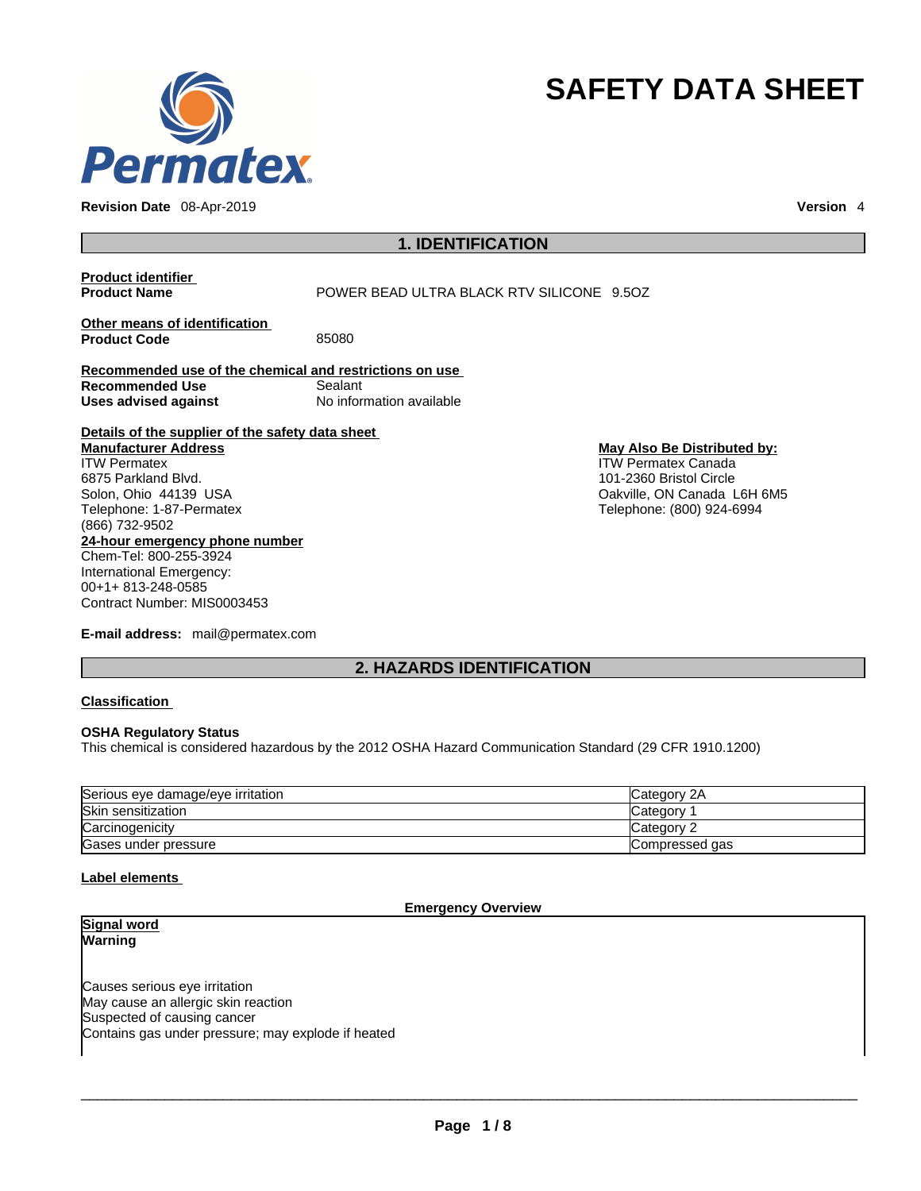

**Revision Date** 08-Apr-2019 **Version** 4

# **SAFETY DATA SHEET**

## **1. IDENTIFICATION**

## **Product identifier**

**POWER BEAD ULTRA BLACK RTV SILICONE 9.5OZ** 

**Other means of identification**<br>**Product Code** 85080 **Product Code** 

**Recommended use of the chemical and restrictions on use Recommended Use** Sealant **Uses advised against** No information available

**Details of the supplier of the safety data sheet**

**24-hour emergency phone number** Chem-Tel: 800-255-3924 International Emergency: **Manufacturer Address** ITW Permatex 6875 Parkland Blvd. Solon, Ohio 44139 USA Telephone: 1-87-Permatex (866) 732-9502

00+1+ 813-248-0585 Contract Number: MIS0003453

**E-mail address:** mail@permatex.com

**May Also Be Distributed by:** ITW Permatex Canada 101-2360 Bristol Circle Oakville, ON Canada L6H 6M5 Telephone: (800) 924-6994

## **2. HAZARDS IDENTIFICATION**

## **Classification**

## **OSHA Regulatory Status**

This chemical is considered hazardous by the 2012 OSHA Hazard Communication Standard (29 CFR 1910.1200)

| Serious eye damage/eye irritation | Category 2A     |
|-----------------------------------|-----------------|
| Skin sensitization                | <b>Category</b> |
| Carcinogenicity                   | Category 2      |
| Gases under pressure              | Compressed gas  |

## **Label elements**

## **Emergency Overview**

**Signal word Warning** 

Causes serious eye irritation May cause an allergic skin reaction Suspected of causing cancer Contains gas under pressure; may explode if heated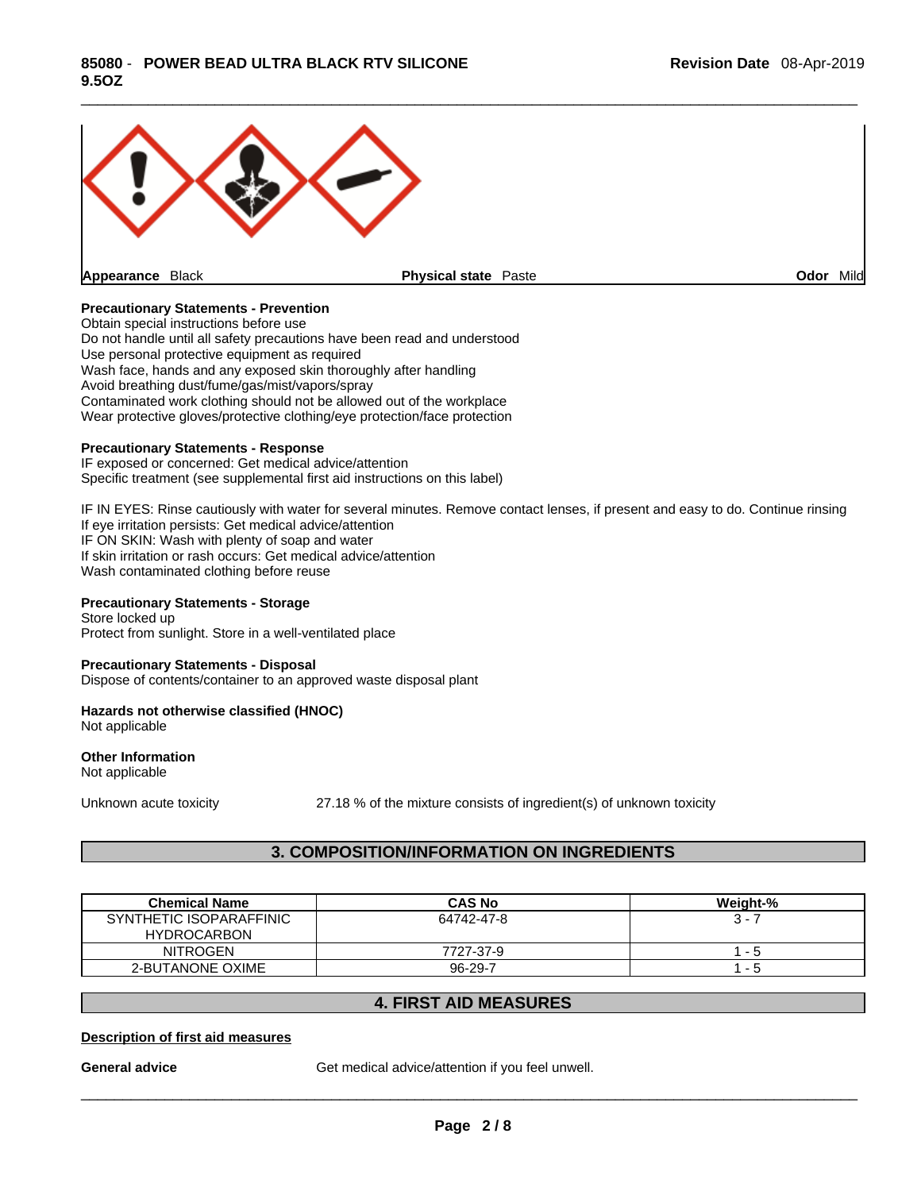

## **Precautionary Statements - Prevention**

Obtain special instructions before use Do not handle until all safety precautions have been read and understood Use personal protective equipment as required Wash face, hands and any exposed skin thoroughly after handling Avoid breathing dust/fume/gas/mist/vapors/spray Contaminated work clothing should not be allowed out of the workplace Wear protective gloves/protective clothing/eye protection/face protection

#### **Precautionary Statements - Response**

IF exposed or concerned: Get medical advice/attention Specific treatment (see supplemental first aid instructions on this label)

IF IN EYES: Rinse cautiously with water for several minutes. Remove contact lenses, if present and easy to do. Continue rinsing If eye irritation persists: Get medical advice/attention IF ON SKIN: Wash with plenty of soap and water If skin irritation or rash occurs: Get medical advice/attention Wash contaminated clothing before reuse

#### **Precautionary Statements - Storage**

Store locked up Protect from sunlight. Store in a well-ventilated place

#### **Precautionary Statements - Disposal**

Dispose of contents/container to an approved waste disposal plant

#### **Hazards not otherwise classified (HNOC)**  Not applicable

**Other Information** 

Not applicable

Unknown acute toxicity 27.18 % of the mixture consists of ingredient(s) of unknown toxicity

## **3. COMPOSITION/INFORMATION ON INGREDIENTS**

| <b>Chemical Name</b>    | <b>CAS No</b> | Weight-% |
|-------------------------|---------------|----------|
| SYNTHETIC ISOPARAFFINIC | 64742-47-8    | $3 - 7$  |
| <b>HYDROCARBON</b>      |               |          |
| NITROGEN                | 7727-37-9     | - 5      |
| 2-BUTANONE OXIME        | $96 - 29 - 7$ | - 5      |

## **4. FIRST AID MEASURES**

## **Description of first aid measures**

**General advice** Get medical advice/attention if you feel unwell.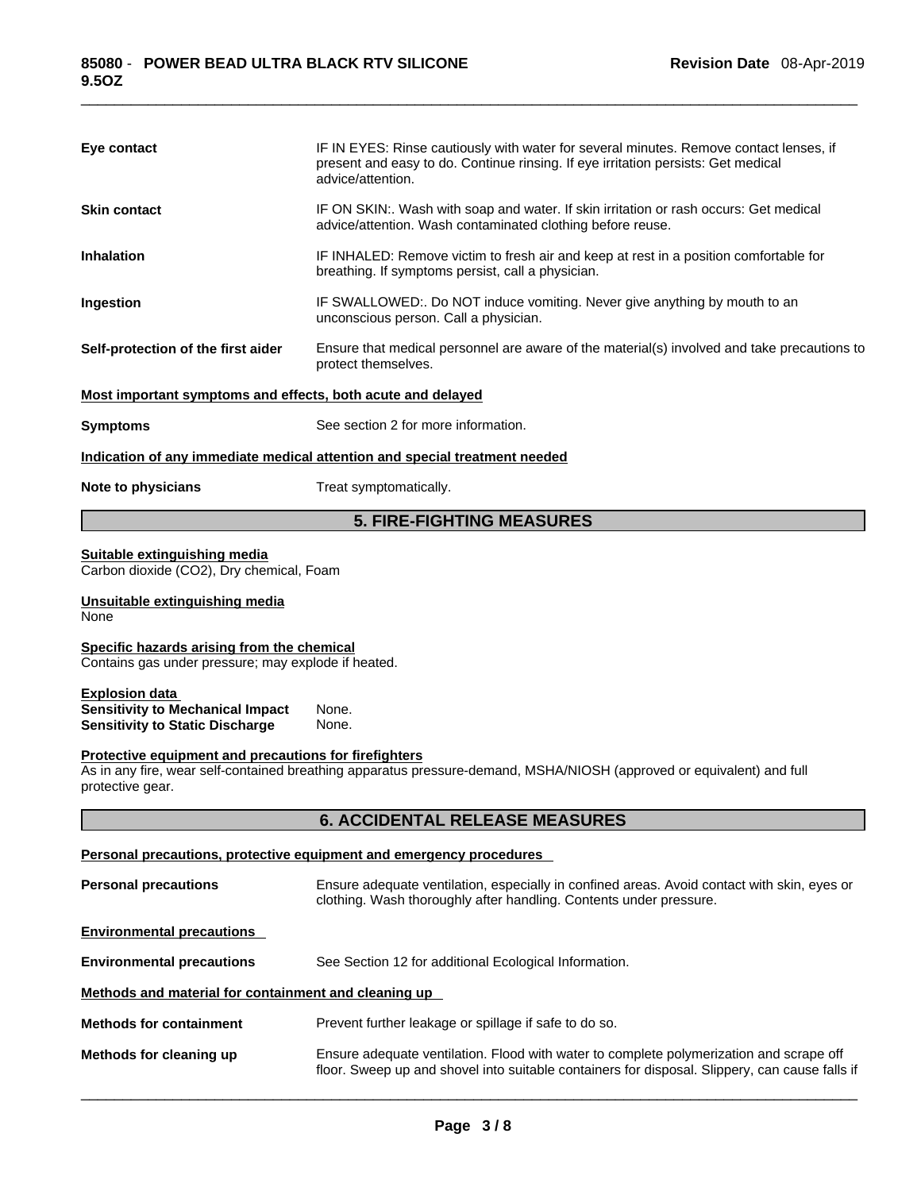| Eye contact                                                                                                | IF IN EYES: Rinse cautiously with water for several minutes. Remove contact lenses, if<br>present and easy to do. Continue rinsing. If eye irritation persists: Get medical<br>advice/attention. |
|------------------------------------------------------------------------------------------------------------|--------------------------------------------------------------------------------------------------------------------------------------------------------------------------------------------------|
| <b>Skin contact</b>                                                                                        | IF ON SKIN:. Wash with soap and water. If skin irritation or rash occurs: Get medical<br>advice/attention. Wash contaminated clothing before reuse.                                              |
| <b>Inhalation</b>                                                                                          | IF INHALED: Remove victim to fresh air and keep at rest in a position comfortable for<br>breathing. If symptoms persist, call a physician.                                                       |
| Ingestion                                                                                                  | IF SWALLOWED:. Do NOT induce vomiting. Never give anything by mouth to an<br>unconscious person. Call a physician.                                                                               |
| Self-protection of the first aider                                                                         | Ensure that medical personnel are aware of the material(s) involved and take precautions to<br>protect themselves.                                                                               |
| Most important symptoms and effects, both acute and delayed                                                |                                                                                                                                                                                                  |
| <b>Symptoms</b>                                                                                            | See section 2 for more information.                                                                                                                                                              |
|                                                                                                            | Indication of any immediate medical attention and special treatment needed                                                                                                                       |
| Note to physicians                                                                                         | Treat symptomatically.                                                                                                                                                                           |
|                                                                                                            | <b>5. FIRE-FIGHTING MEASURES</b>                                                                                                                                                                 |
| Suitable extinguishing media<br>Carbon dioxide (CO2), Dry chemical, Foam                                   |                                                                                                                                                                                                  |
| Unsuitable extinguishing media<br>None                                                                     |                                                                                                                                                                                                  |
| Specific hazards arising from the chemical<br>Contains gas under pressure; may explode if heated.          |                                                                                                                                                                                                  |
| <b>Explosion data</b><br><b>Sensitivity to Mechanical Impact</b><br><b>Sensitivity to Static Discharge</b> | None.<br>None.                                                                                                                                                                                   |
| Protective equipment and precautions for firefighters<br>protective gear.                                  | As in any fire, wear self-contained breathing apparatus pressure-demand, MSHA/NIOSH (approved or equivalent) and full                                                                            |
|                                                                                                            | <b>6. ACCIDENTAL RELEASE MEASURES</b>                                                                                                                                                            |
|                                                                                                            | <b>Personal precautions, protective equipment and emergency procedures</b>                                                                                                                       |
| <b>Personal precautions</b>                                                                                | Ensure adequate ventilation, especially in confined areas. Avoid contact with skin, eyes or<br>clothing. Wash thoroughly after handling. Contents under pressure.                                |
| <b>Environmental precautions</b>                                                                           |                                                                                                                                                                                                  |
| <b>Environmental precautions</b>                                                                           | See Section 12 for additional Ecological Information.                                                                                                                                            |
| Methods and material for containment and cleaning up                                                       |                                                                                                                                                                                                  |
| <b>Methods for containment</b>                                                                             | Prevent further leakage or spillage if safe to do so.                                                                                                                                            |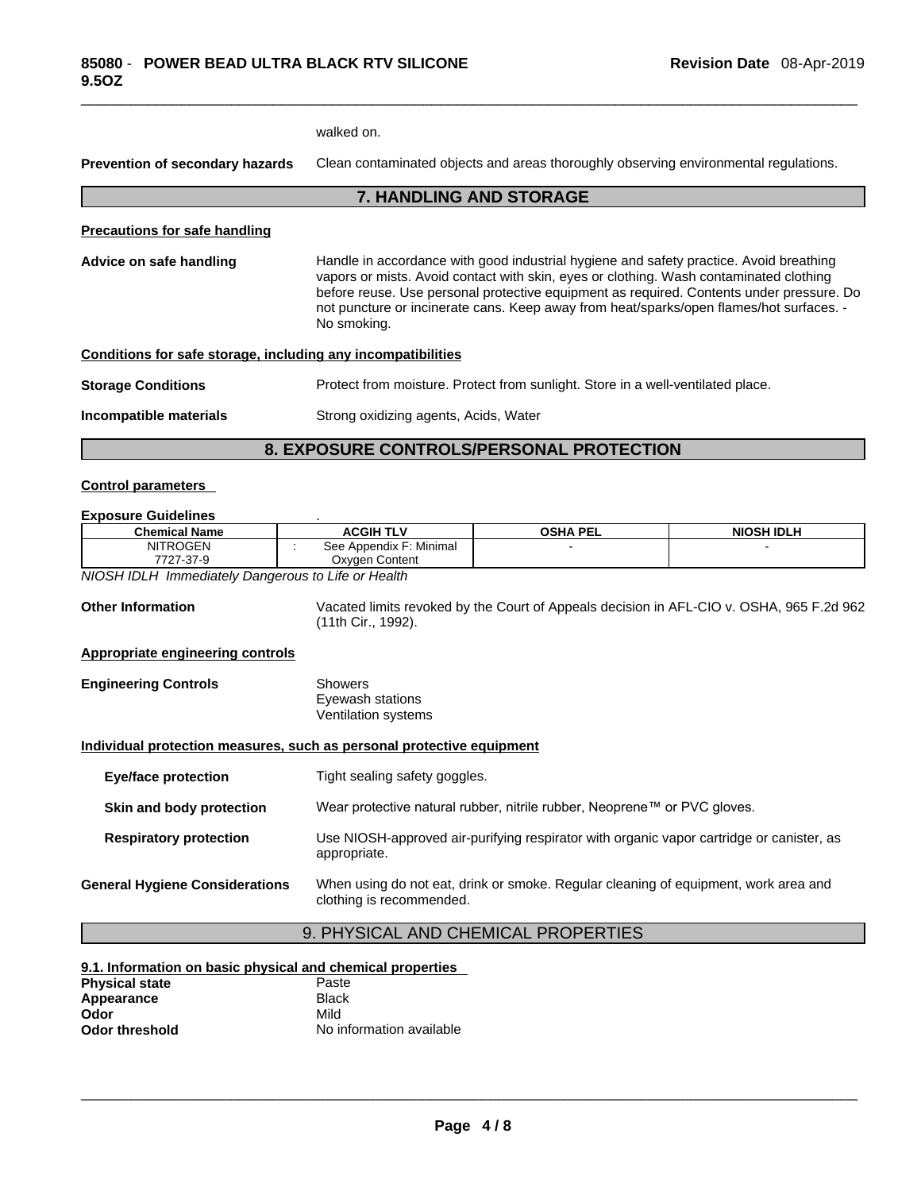|                                                              | walked on.                                                                                                                                                                                                                                                                                                                                                                             |
|--------------------------------------------------------------|----------------------------------------------------------------------------------------------------------------------------------------------------------------------------------------------------------------------------------------------------------------------------------------------------------------------------------------------------------------------------------------|
| Prevention of secondary hazards                              | Clean contaminated objects and areas thoroughly observing environmental regulations.                                                                                                                                                                                                                                                                                                   |
|                                                              | <b>7. HANDLING AND STORAGE</b>                                                                                                                                                                                                                                                                                                                                                         |
| <b>Precautions for safe handling</b>                         |                                                                                                                                                                                                                                                                                                                                                                                        |
| Advice on safe handling                                      | Handle in accordance with good industrial hygiene and safety practice. Avoid breathing<br>vapors or mists. Avoid contact with skin, eyes or clothing. Wash contaminated clothing<br>before reuse. Use personal protective equipment as required. Contents under pressure. Do<br>not puncture or incinerate cans. Keep away from heat/sparks/open flames/hot surfaces. -<br>No smoking. |
| Conditions for safe storage, including any incompatibilities |                                                                                                                                                                                                                                                                                                                                                                                        |
| <b>Storage Conditions</b>                                    | Protect from moisture. Protect from sunlight. Store in a well-ventilated place.                                                                                                                                                                                                                                                                                                        |
| Incompatible materials                                       | Strong oxidizing agents, Acids, Water                                                                                                                                                                                                                                                                                                                                                  |

## **8. EXPOSURE CONTROLS/PERSONAL PROTECTION**

## **Control parameters**

#### **Exposure Guidelines** .

| <b>Chemical Name</b>                                                  | <b>ACGIH TLV</b>                                   | <b>OSHA PEL</b>                                                                          | <b>NIOSH IDLH</b>                                                                   |  |
|-----------------------------------------------------------------------|----------------------------------------------------|------------------------------------------------------------------------------------------|-------------------------------------------------------------------------------------|--|
| <b>NITROGEN</b>                                                       | See Appendix F: Minimal                            |                                                                                          |                                                                                     |  |
| 7727-37-9                                                             | Oxygen Content                                     |                                                                                          |                                                                                     |  |
| NIOSH IDLH Immediately Dangerous to Life or Health                    |                                                    |                                                                                          |                                                                                     |  |
| <b>Other Information</b>                                              | (11th Cir., 1992).                                 | Vacated limits revoked by the Court of Appeals decision in AFL-CIO v. OSHA, 965 F.2d 962 |                                                                                     |  |
| <b>Appropriate engineering controls</b>                               |                                                    |                                                                                          |                                                                                     |  |
| <b>Engineering Controls</b>                                           | Showers<br>Eyewash stations<br>Ventilation systems |                                                                                          |                                                                                     |  |
| Individual protection measures, such as personal protective equipment |                                                    |                                                                                          |                                                                                     |  |
| <b>Eye/face protection</b>                                            |                                                    | Tight sealing safety goggles.                                                            |                                                                                     |  |
| Skin and body protection                                              |                                                    | Wear protective natural rubber, nitrile rubber, Neoprene™ or PVC gloves.                 |                                                                                     |  |
| <b>Respiratory protection</b>                                         | appropriate.                                       | Use NIOSH-approved air-purifying respirator with organic vapor cartridge or canister, as |                                                                                     |  |
| <b>General Hygiene Considerations</b>                                 | clothing is recommended.                           |                                                                                          | When using do not eat, drink or smoke. Regular cleaning of equipment, work area and |  |
|                                                                       |                                                    | 9. PHYSICAL AND CHEMICAL PROPERTIES                                                      |                                                                                     |  |

| 9.1. Information on basic physical and chemical properties |                          |  |  |
|------------------------------------------------------------|--------------------------|--|--|
| <b>Physical state</b>                                      | Paste                    |  |  |
| Appearance                                                 | <b>Black</b>             |  |  |
| Odor                                                       | Mild                     |  |  |
| Odor threshold                                             | No information available |  |  |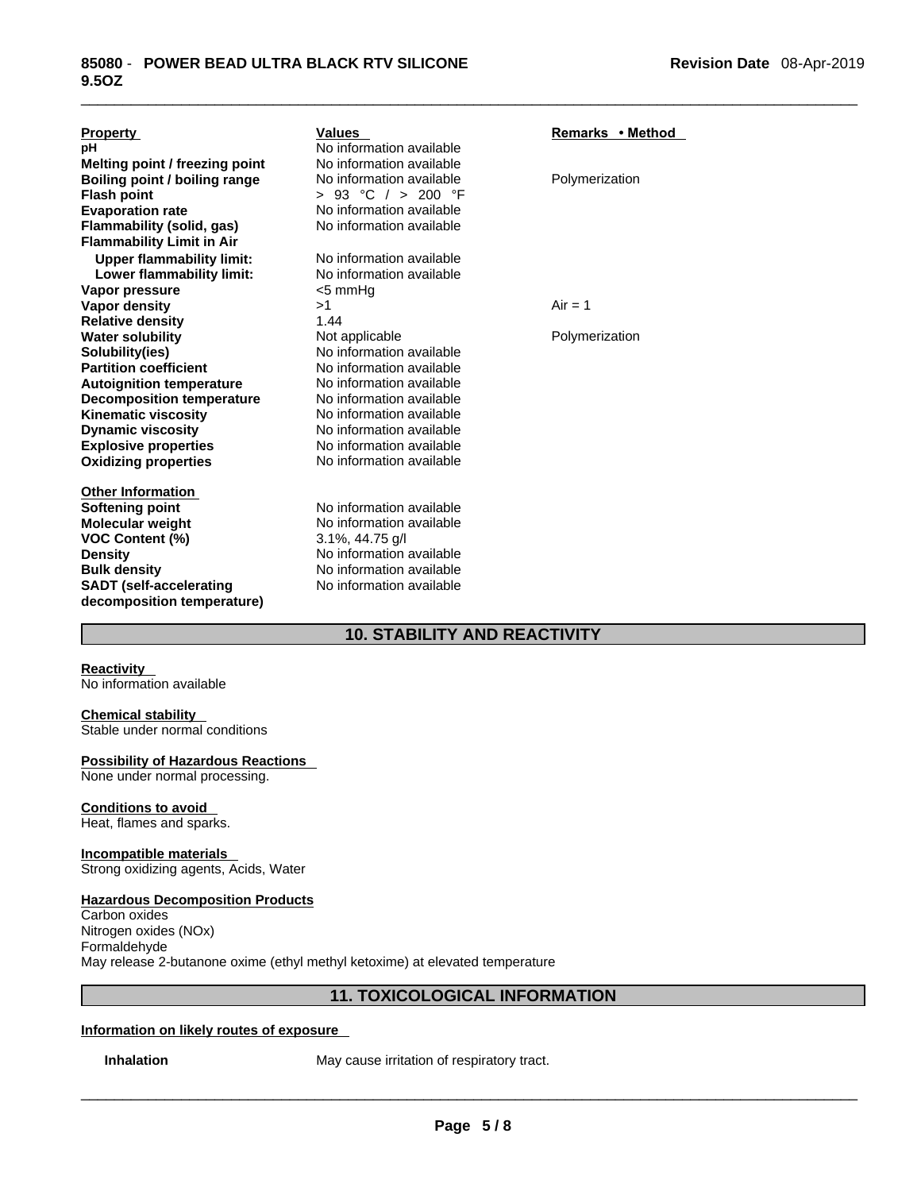| <b>Property</b>                      | <b>Values</b>            | Remarks • Method |
|--------------------------------------|--------------------------|------------------|
| рH                                   | No information available |                  |
| Melting point / freezing point       | No information available |                  |
| <b>Boiling point / boiling range</b> | No information available | Polymerization   |
| <b>Flash point</b>                   | > 93 °C $/$ > 200 °F     |                  |
| <b>Evaporation rate</b>              | No information available |                  |
| Flammability (solid, gas)            | No information available |                  |
| <b>Flammability Limit in Air</b>     |                          |                  |
| <b>Upper flammability limit:</b>     | No information available |                  |
| Lower flammability limit:            | No information available |                  |
| Vapor pressure                       | $<$ 5 mm $Hg$            |                  |
| Vapor density                        | >1                       | $Air = 1$        |
| <b>Relative density</b>              | 1.44                     |                  |
| <b>Water solubility</b>              | Not applicable           | Polymerization   |
| Solubility(ies)                      | No information available |                  |
| <b>Partition coefficient</b>         | No information available |                  |
| <b>Autoignition temperature</b>      | No information available |                  |
| <b>Decomposition temperature</b>     | No information available |                  |
| <b>Kinematic viscosity</b>           | No information available |                  |
| <b>Dynamic viscosity</b>             | No information available |                  |
| <b>Explosive properties</b>          | No information available |                  |
| <b>Oxidizing properties</b>          | No information available |                  |
| <b>Other Information</b>             |                          |                  |
| <b>Softening point</b>               | No information available |                  |
| <b>Molecular weight</b>              | No information available |                  |
| <b>VOC Content (%)</b>               | $3.1\%$ , 44.75 g/l      |                  |
| <b>Density</b>                       | No information available |                  |
| <b>Bulk density</b>                  | No information available |                  |
| <b>SADT</b> (self-accelerating       | No information available |                  |
| decomposition temperature)           |                          |                  |

## **10. STABILITY AND REACTIVITY**

## **Reactivity**

No information available

## **Chemical stability**

Stable under normal conditions

## **Possibility of Hazardous Reactions**

None under normal processing.

## **Conditions to avoid**

Heat, flames and sparks.

## **Incompatible materials**

Strong oxidizing agents, Acids, Water

## **Hazardous Decomposition Products**

Carbon oxides Nitrogen oxides (NOx) Formaldehyde May release 2-butanone oxime (ethyl methyl ketoxime) at elevated temperature

## **11. TOXICOLOGICAL INFORMATION**

## **Information on likely routes of exposure**

**Inhalation** May cause irritation of respiratory tract.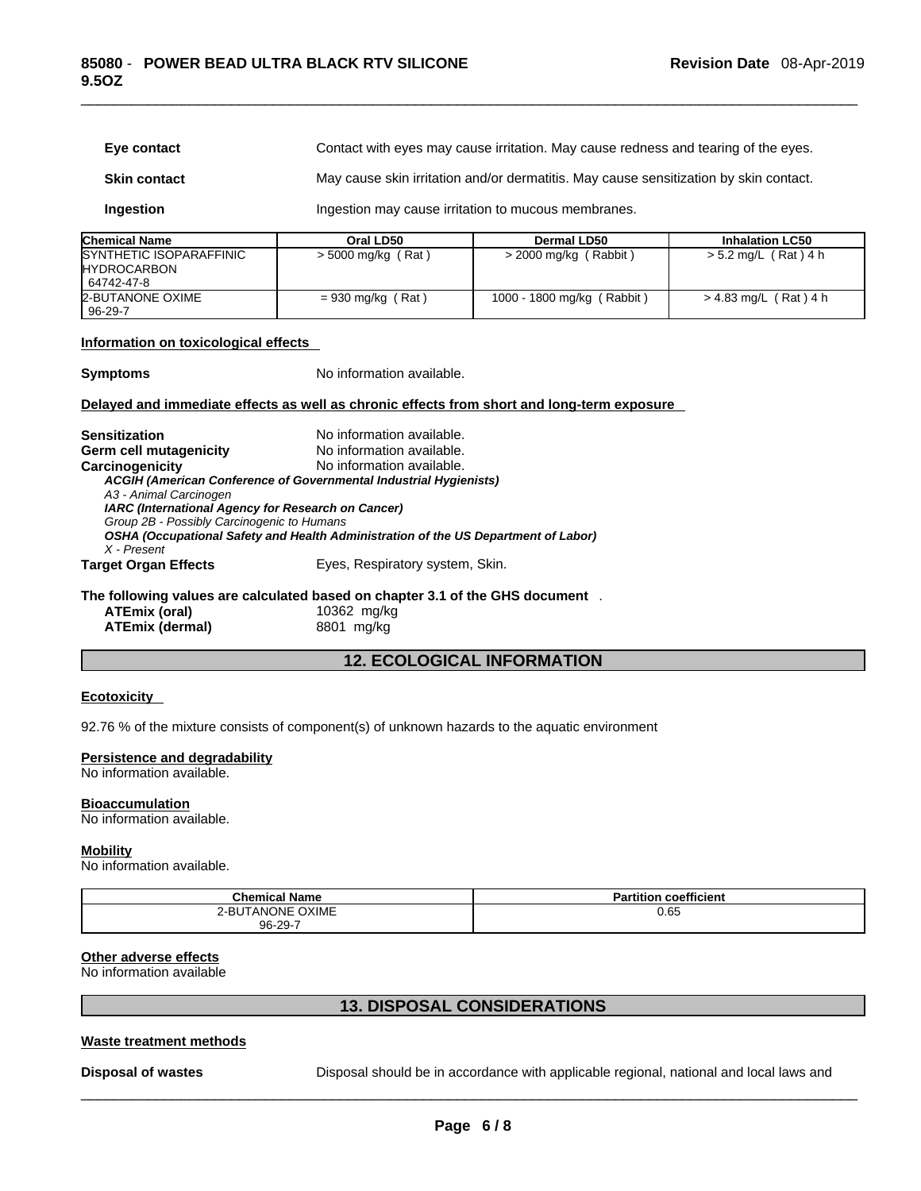| Eye contact                                                                                                                                                                                                    |                                                                                                                                                                                                                                                | Contact with eyes may cause irritation. May cause redness and tearing of the eyes.         |                         |
|----------------------------------------------------------------------------------------------------------------------------------------------------------------------------------------------------------------|------------------------------------------------------------------------------------------------------------------------------------------------------------------------------------------------------------------------------------------------|--------------------------------------------------------------------------------------------|-------------------------|
| <b>Skin contact</b>                                                                                                                                                                                            | May cause skin irritation and/or dermatitis. May cause sensitization by skin contact.                                                                                                                                                          |                                                                                            |                         |
| Ingestion                                                                                                                                                                                                      | Ingestion may cause irritation to mucous membranes.                                                                                                                                                                                            |                                                                                            |                         |
| <b>Chemical Name</b>                                                                                                                                                                                           | Oral LD50                                                                                                                                                                                                                                      | <b>Dermal LD50</b>                                                                         | <b>Inhalation LC50</b>  |
| SYNTHETIC ISOPARAFFINIC<br><b>HYDROCARBON</b><br>64742-47-8                                                                                                                                                    | > 5000 mg/kg (Rat)                                                                                                                                                                                                                             | > 2000 mg/kg (Rabbit)                                                                      | $> 5.2$ mg/L (Rat) 4 h  |
| <b>2-BUTANONE OXIME</b><br>$96 - 29 - 7$                                                                                                                                                                       | $= 930$ mg/kg (Rat)                                                                                                                                                                                                                            | 1000 - 1800 mg/kg (Rabbit)                                                                 | $> 4.83$ mg/L (Rat) 4 h |
| Information on toxicological effects                                                                                                                                                                           |                                                                                                                                                                                                                                                |                                                                                            |                         |
| <b>Symptoms</b>                                                                                                                                                                                                | No information available.                                                                                                                                                                                                                      |                                                                                            |                         |
|                                                                                                                                                                                                                |                                                                                                                                                                                                                                                | Delayed and immediate effects as well as chronic effects from short and long-term exposure |                         |
| <b>Sensitization</b><br>Germ cell mutagenicity<br>Carcinogenicity<br>A3 - Animal Carcinogen<br>IARC (International Agency for Research on Cancer)<br>Group 2B - Possibly Carcinogenic to Humans<br>X - Present | No information available.<br>No information available.<br>No information available.<br>ACGIH (American Conference of Governmental Industrial Hygienists)<br>OSHA (Occupational Safety and Health Administration of the US Department of Labor) |                                                                                            |                         |
| <b>Target Organ Effects</b>                                                                                                                                                                                    | Eyes, Respiratory system, Skin.                                                                                                                                                                                                                |                                                                                            |                         |
| The following values are calculated based on chapter 3.1 of the GHS document.<br><b>ATEmix (oral)</b><br><b>ATEmix (dermal)</b>                                                                                | 10362 mg/kg<br>8801 mg/kg                                                                                                                                                                                                                      |                                                                                            |                         |
|                                                                                                                                                                                                                |                                                                                                                                                                                                                                                | <b>12. ECOLOGICAL INFORMATION</b>                                                          |                         |

## **Ecotoxicity**

92.76 % of the mixture consists of component(s) of unknown hazards to the aquatic environment

#### **Persistence and degradability**

No information available.

## **Bioaccumulation**

No information available.

#### **Mobility**

No information available.

| <b>Chemical Name</b> | coefficient<br><b>Partition</b> |
|----------------------|---------------------------------|
| 2-BUTANONE OXIME     | 0.65                            |
| 96-29-7              |                                 |

## **Other adverse effects**

No information available

## **13. DISPOSAL CONSIDERATIONS**

## **Waste treatment methods**

**Disposal of wastes** Disposal should be in accordance with applicable regional, national and local laws and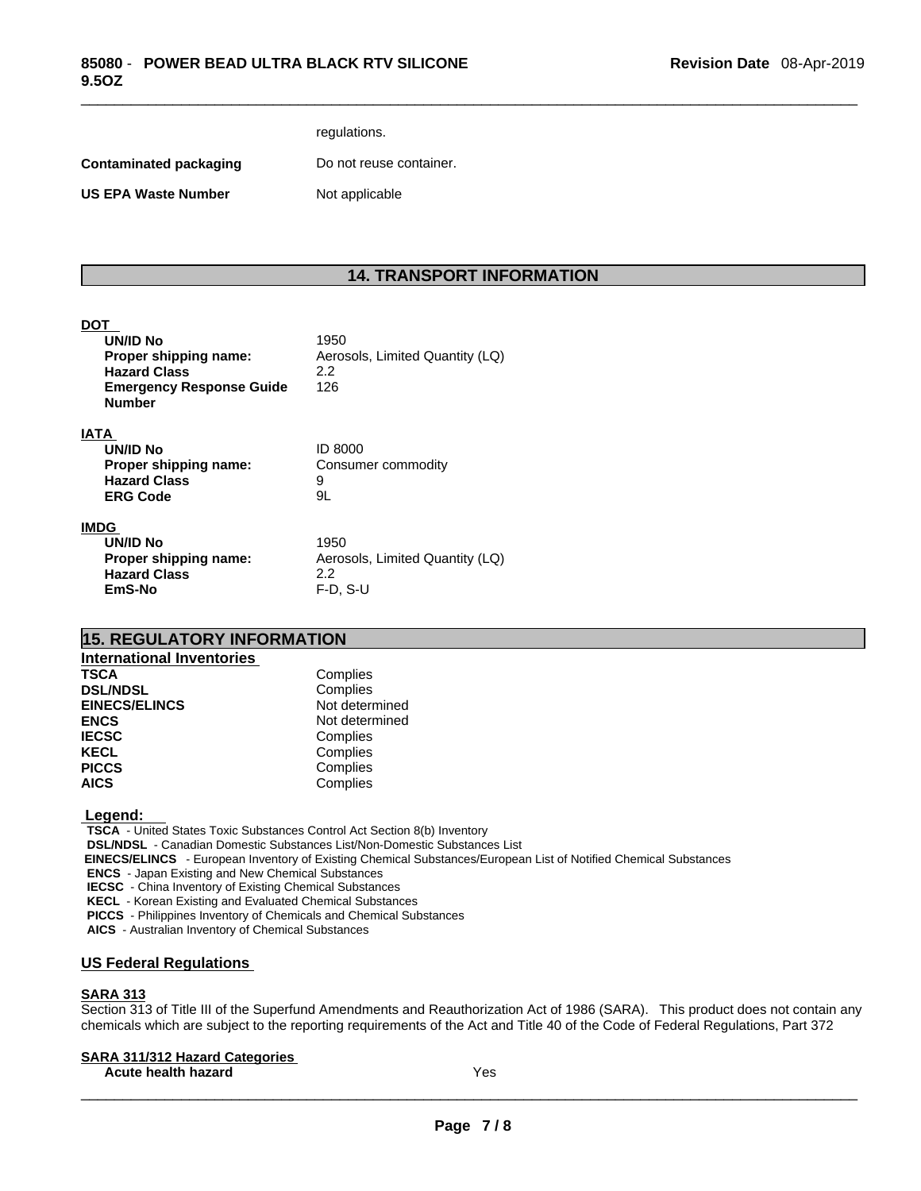## regulations.

**Contaminated packaging Do not reuse container.** 

**US EPA Waste Number** Not applicable

## **14. TRANSPORT INFORMATION**

## **DOT**

| UN/ID No                        | 1950                            |
|---------------------------------|---------------------------------|
| Proper shipping name:           | Aerosols, Limited Quantity (LQ) |
| <b>Hazard Class</b>             | 2.2                             |
| <b>Emergency Response Guide</b> | 126                             |
| <b>Number</b>                   |                                 |
| <b>IATA</b>                     |                                 |
| <b>UN/ID No</b>                 | <b>ID 8000</b>                  |
| Proper shipping name:           | Consumer commodity              |
|                                 |                                 |

**Hazard Class** 9 **ERG Code** 9L

#### **IMDG**

| UN/ID No              | 1950                       |
|-----------------------|----------------------------|
| Proper shipping name: | Aerosols, Limited Quantity |
| <b>Hazard Class</b>   | 22                         |
| EmS-No                | $F-D. S-U$                 |

**Proper shipping name:** Aerosols, Limited Quantity (LQ) **EmS-No** F-D, S-U

## **15. REGULATORY INFORMATION**

| Complies       |
|----------------|
| Complies       |
| Not determined |
| Not determined |
| Complies       |
| Complies       |
| Complies       |
| Complies       |
|                |

## **Legend:**

**TSCA** - United States Toxic Substances Control Act Section 8(b) Inventory **DSL/NDSL** - Canadian Domestic Substances List/Non-Domestic Substances List  **EINECS/ELINCS** - European Inventory of Existing Chemical Substances/European List of Notified Chemical Substances **ENCS** - Japan Existing and New Chemical Substances **IECSC** - China Inventory of Existing Chemical Substances **KECL** - Korean Existing and Evaluated Chemical Substances

**PICCS** - Philippines Inventory of Chemicals and Chemical Substances

**AICS** - Australian Inventory of Chemical Substances

## **US Federal Regulations**

## **SARA 313**

Section 313 of Title III of the Superfund Amendments and Reauthorization Act of 1986 (SARA). This product does not contain any chemicals which are subject to the reporting requirements of the Act and Title 40 of the Code of Federal Regulations, Part 372

## **SARA 311/312 Hazard Categories**

**Acute health hazard** Yes